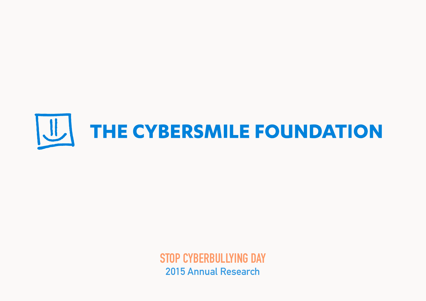

**STOP CYBERBULLYING DAY 2015 Annual Research**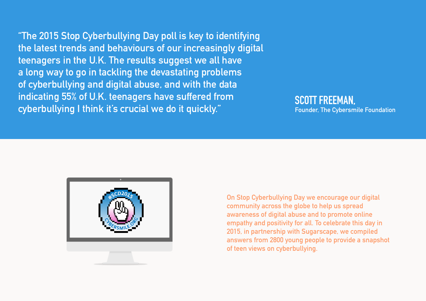**"The 2015 Stop Cyberbullying Day poll is key to identifying the latest trends and behaviours of our increasingly digital teenagers in the U.K. The results suggest we all have a long way to go in tackling the devastating problems of cyberbullying and digital abuse, and with the data indicating 55% of U.K. teenagers have suffered from cyberbullying I think it's crucial we do it quickly."**

#### **SCOTT FREEMAN, Founder, The Cybersmile Foundation**



**On Stop Cyberbullying Day we encourage our digital community across the globe to help us spread awareness of digital abuse and to promote online empathy and positivity for all. To celebrate this day in 2015, in partnership with Sugarscape, we compiled answers from 2800 young people to provide a snapshot of teen views on cyberbullying.**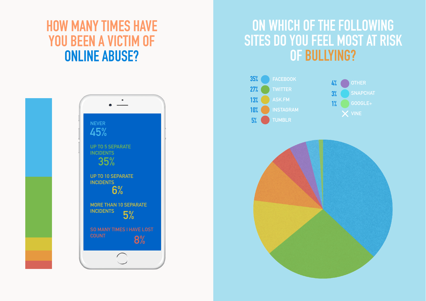### **HOW MANY TIMES HAVE YOU BEEN A VICTIM OF ONLINE ABUSE?**



#### **ON WHICH OF THE FOLLOWING SITES DO YOU FEEL MOST AT RISK OF BULLYING?**





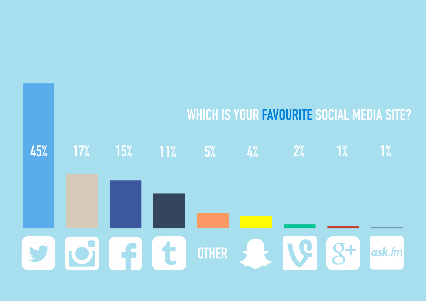## **WHICH IS YOUR FAVOURITE SOCIAL MEDIA SITE?**

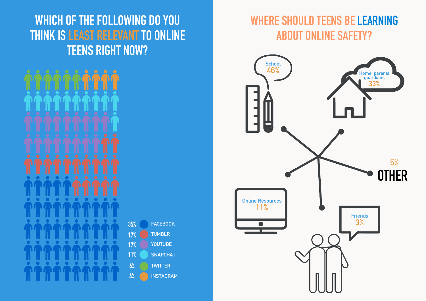#### **WHICH OF THE FOLLOWING DO YOU THINK IS LEAST RELEVANT TO ONLINE TEENS RIGHT NOW?**

| <b>FACEBOOK</b>  |
|------------------|
| <b>TUMBLR</b>    |
| YOUTUBE          |
| <b>SNAPCHAT</b>  |
| <b>TWITTER</b>   |
| <b>INSTAGRAM</b> |
|                  |

#### **WHERE SHOULD TEENS BE LEARNING ABOUT ONLINE SAFETY?**

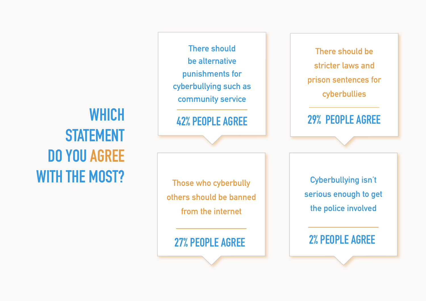# **WHICH STATEMENT DO YOU AGREE WITH THE MOST?**

**There should be alternative punishments for cyberbullying such as community service** 

**42% PEOPLE AGREE**

**Those who cyberbully others should be banned from the internet**

**There should be stricter laws and prison sentences for cyberbullies**

**29% PEOPLE AGREE**

**Cyberbullying isn't serious enough to get the police involved**

 **2% PEOPLE AGREE 27% PEOPLE AGREE**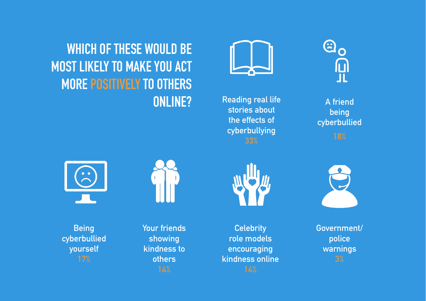**Reading real life stories about the effects of cyberbullying 33%** 

**A friend being cyberbullied 18%**

 $\mathbf{G}_\mathbf{O}$ 

ரி<br>ப



**Being cyberbullied yourself** 



**ONLINE?**

**WHICH OF THESE WOULD BE** 

**MOST LIKELY TO MAKE YOU ACT** 

**MORE POSITIVELY TO OTHERS** 

**Your friends showing kindness to others** 



**Celebrity role models encouraging kindness online**  **Government/ police warnings**